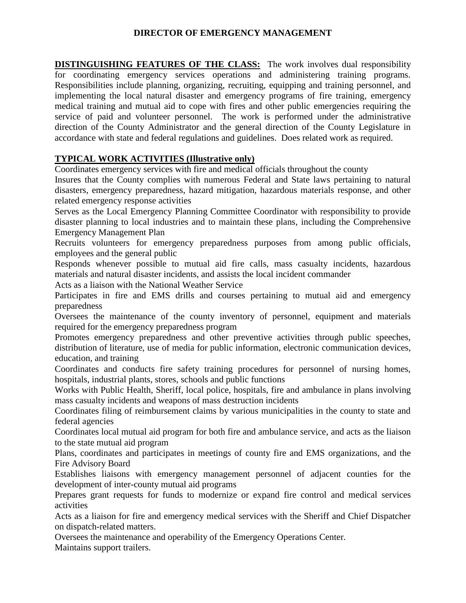### **DIRECTOR OF EMERGENCY MANAGEMENT**

**DISTINGUISHING FEATURES OF THE CLASS:** The work involves dual responsibility for coordinating emergency services operations and administering training programs. Responsibilities include planning, organizing, recruiting, equipping and training personnel, and implementing the local natural disaster and emergency programs of fire training, emergency medical training and mutual aid to cope with fires and other public emergencies requiring the service of paid and volunteer personnel. The work is performed under the administrative direction of the County Administrator and the general direction of the County Legislature in accordance with state and federal regulations and guidelines. Does related work as required.

# **TYPICAL WORK ACTIVITIES (Illustrative only)**

Coordinates emergency services with fire and medical officials throughout the county

Insures that the County complies with numerous Federal and State laws pertaining to natural disasters, emergency preparedness, hazard mitigation, hazardous materials response, and other related emergency response activities

Serves as the Local Emergency Planning Committee Coordinator with responsibility to provide disaster planning to local industries and to maintain these plans, including the Comprehensive Emergency Management Plan

Recruits volunteers for emergency preparedness purposes from among public officials, employees and the general public

Responds whenever possible to mutual aid fire calls, mass casualty incidents, hazardous materials and natural disaster incidents, and assists the local incident commander

Acts as a liaison with the National Weather Service

Participates in fire and EMS drills and courses pertaining to mutual aid and emergency preparedness

Oversees the maintenance of the county inventory of personnel, equipment and materials required for the emergency preparedness program

Promotes emergency preparedness and other preventive activities through public speeches, distribution of literature, use of media for public information, electronic communication devices, education, and training

Coordinates and conducts fire safety training procedures for personnel of nursing homes, hospitals, industrial plants, stores, schools and public functions

Works with Public Health, Sheriff, local police, hospitals, fire and ambulance in plans involving mass casualty incidents and weapons of mass destruction incidents

Coordinates filing of reimbursement claims by various municipalities in the county to state and federal agencies

Coordinates local mutual aid program for both fire and ambulance service, and acts as the liaison to the state mutual aid program

Plans, coordinates and participates in meetings of county fire and EMS organizations, and the Fire Advisory Board

Establishes liaisons with emergency management personnel of adjacent counties for the development of inter-county mutual aid programs

Prepares grant requests for funds to modernize or expand fire control and medical services activities

Acts as a liaison for fire and emergency medical services with the Sheriff and Chief Dispatcher on dispatch-related matters.

Oversees the maintenance and operability of the Emergency Operations Center.

Maintains support trailers.